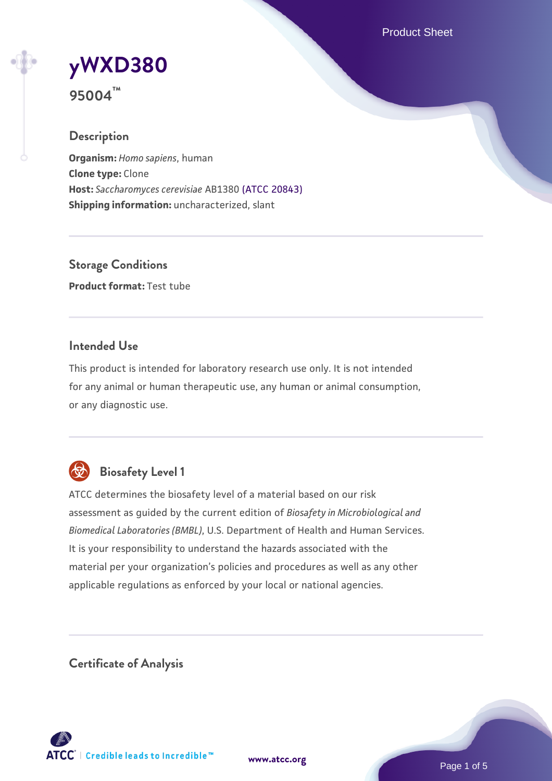Product Sheet

## **[yWXD380](https://www.atcc.org/products/95004) 95004™**

# **Description**

**Organism:** *Homo sapiens*, human **Clone type:** Clone **Host:** *Saccharomyces cerevisiae* AB1380 [\(ATCC 20843\)](https://www.atcc.org/products/20843) **Shipping information:** uncharacterized, slant

**Storage Conditions Product format:** Test tube

#### **Intended Use**

This product is intended for laboratory research use only. It is not intended for any animal or human therapeutic use, any human or animal consumption, or any diagnostic use.



### **Biosafety Level 1**

ATCC determines the biosafety level of a material based on our risk assessment as guided by the current edition of *Biosafety in Microbiological and Biomedical Laboratories (BMBL)*, U.S. Department of Health and Human Services. It is your responsibility to understand the hazards associated with the material per your organization's policies and procedures as well as any other applicable regulations as enforced by your local or national agencies.

**Certificate of Analysis**

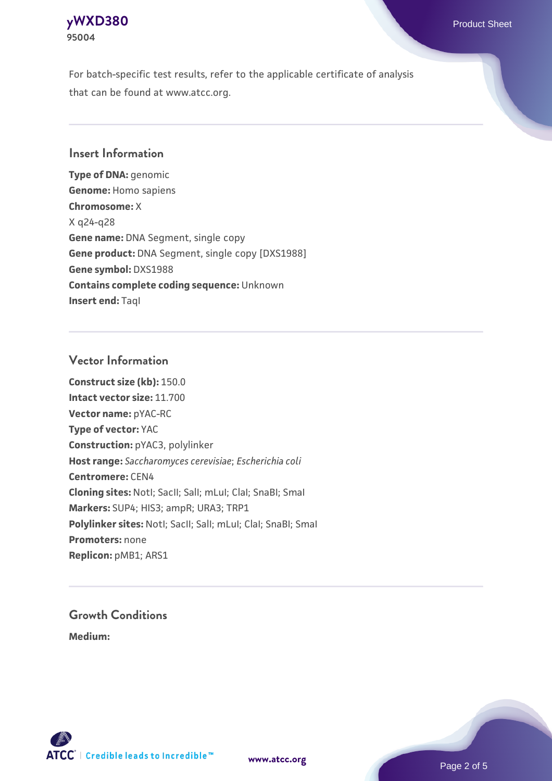

For batch-specific test results, refer to the applicable certificate of analysis that can be found at www.atcc.org.

#### **Insert Information**

**Type of DNA:** genomic **Genome:** Homo sapiens **Chromosome:** X X q24-q28 **Gene name:** DNA Segment, single copy **Gene product:** DNA Segment, single copy [DXS1988] **Gene symbol:** DXS1988 **Contains complete coding sequence:** Unknown **Insert end: Tagl** 

#### **Vector Information**

**Construct size (kb):** 150.0 **Intact vector size:** 11.700 **Vector name:** pYAC-RC **Type of vector:** YAC **Construction:** pYAC3, polylinker **Host range:** *Saccharomyces cerevisiae*; *Escherichia coli* **Centromere:** CEN4 **Cloning sites:** NotI; SacII; SalI; mLuI; ClaI; SnaBI; SmaI **Markers:** SUP4; HIS3; ampR; URA3; TRP1 Polylinker sites: Notl; SacII; SalI; mLuI; ClaI; SnaBI; SmaI **Promoters:** none **Replicon:** pMB1; ARS1

## **Growth Conditions**

**Medium:** 



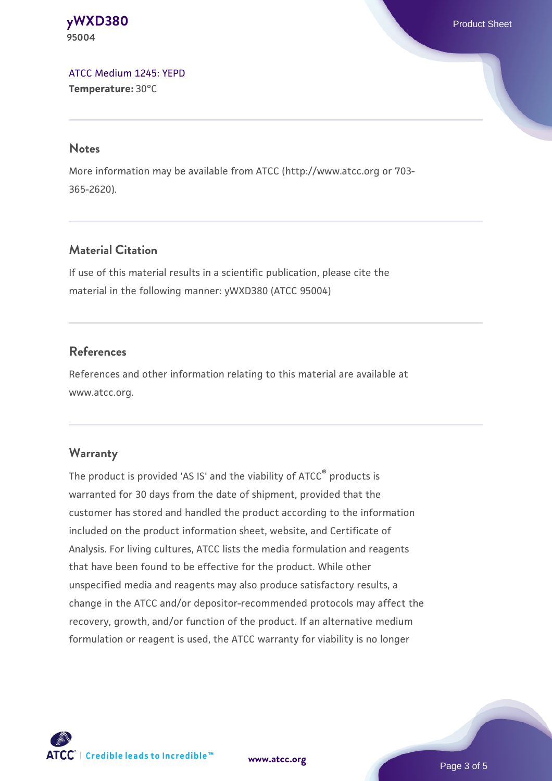**[yWXD380](https://www.atcc.org/products/95004)** Product Sheet **95004**

[ATCC Medium 1245: YEPD](https://www.atcc.org/-/media/product-assets/documents/microbial-media-formulations/1/2/4/5/atcc-medium-1245.pdf?rev=705ca55d1b6f490a808a965d5c072196) **Temperature:** 30°C

#### **Notes**

More information may be available from ATCC (http://www.atcc.org or 703- 365-2620).

#### **Material Citation**

If use of this material results in a scientific publication, please cite the material in the following manner: yWXD380 (ATCC 95004)

#### **References**

References and other information relating to this material are available at www.atcc.org.

#### **Warranty**

The product is provided 'AS IS' and the viability of ATCC® products is warranted for 30 days from the date of shipment, provided that the customer has stored and handled the product according to the information included on the product information sheet, website, and Certificate of Analysis. For living cultures, ATCC lists the media formulation and reagents that have been found to be effective for the product. While other unspecified media and reagents may also produce satisfactory results, a change in the ATCC and/or depositor-recommended protocols may affect the recovery, growth, and/or function of the product. If an alternative medium formulation or reagent is used, the ATCC warranty for viability is no longer



**[www.atcc.org](http://www.atcc.org)**

Page 3 of 5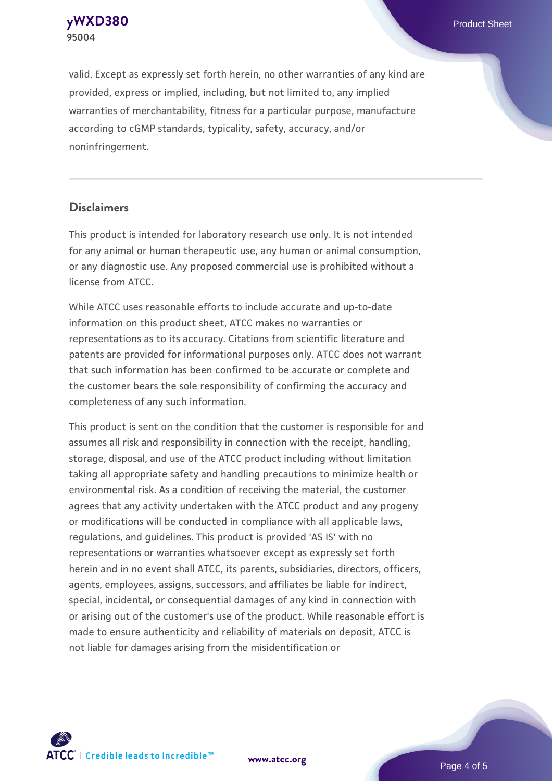**[yWXD380](https://www.atcc.org/products/95004)** Product Sheet **95004**

valid. Except as expressly set forth herein, no other warranties of any kind are provided, express or implied, including, but not limited to, any implied warranties of merchantability, fitness for a particular purpose, manufacture according to cGMP standards, typicality, safety, accuracy, and/or noninfringement.

#### **Disclaimers**

This product is intended for laboratory research use only. It is not intended for any animal or human therapeutic use, any human or animal consumption, or any diagnostic use. Any proposed commercial use is prohibited without a license from ATCC.

While ATCC uses reasonable efforts to include accurate and up-to-date information on this product sheet, ATCC makes no warranties or representations as to its accuracy. Citations from scientific literature and patents are provided for informational purposes only. ATCC does not warrant that such information has been confirmed to be accurate or complete and the customer bears the sole responsibility of confirming the accuracy and completeness of any such information.

This product is sent on the condition that the customer is responsible for and assumes all risk and responsibility in connection with the receipt, handling, storage, disposal, and use of the ATCC product including without limitation taking all appropriate safety and handling precautions to minimize health or environmental risk. As a condition of receiving the material, the customer agrees that any activity undertaken with the ATCC product and any progeny or modifications will be conducted in compliance with all applicable laws, regulations, and guidelines. This product is provided 'AS IS' with no representations or warranties whatsoever except as expressly set forth herein and in no event shall ATCC, its parents, subsidiaries, directors, officers, agents, employees, assigns, successors, and affiliates be liable for indirect, special, incidental, or consequential damages of any kind in connection with or arising out of the customer's use of the product. While reasonable effort is made to ensure authenticity and reliability of materials on deposit, ATCC is not liable for damages arising from the misidentification or



**[www.atcc.org](http://www.atcc.org)**

Page 4 of 5